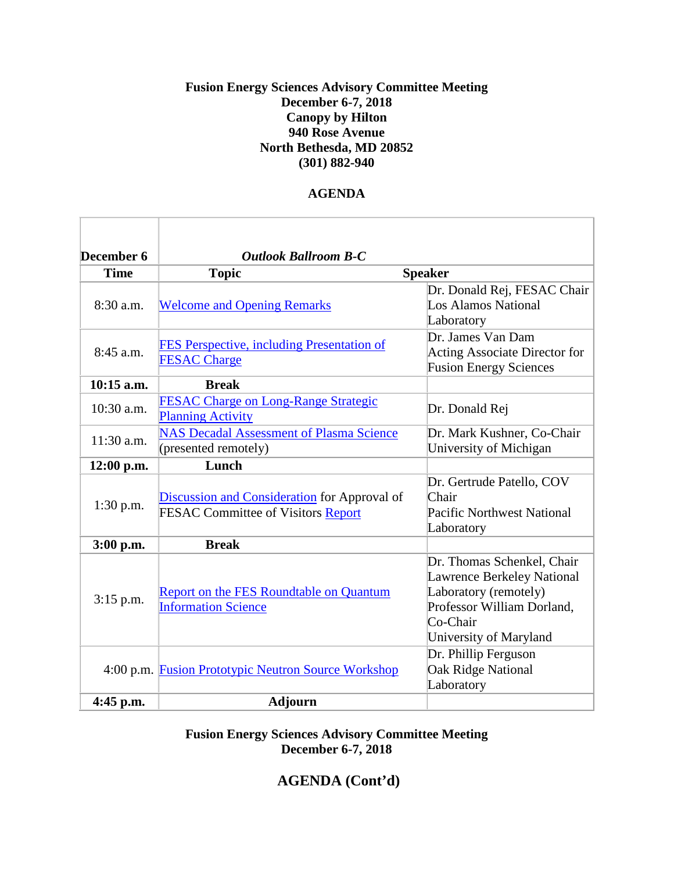## **Fusion Energy Sciences Advisory Committee Meeting December 6-7, 2018 Canopy by Hilton 940 Rose Avenue North Bethesda, MD 20852 (301) 882-940**

## **AGENDA**

| December 6   | <b>Outlook Ballroom B-C</b>                                                               |                                                                                                                                                              |
|--------------|-------------------------------------------------------------------------------------------|--------------------------------------------------------------------------------------------------------------------------------------------------------------|
| <b>Time</b>  | <b>Topic</b>                                                                              | <b>Speaker</b>                                                                                                                                               |
| 8:30 a.m.    | <b>Welcome and Opening Remarks</b>                                                        | Dr. Donald Rej, FESAC Chair<br><b>Los Alamos National</b><br>Laboratory                                                                                      |
| 8:45 a.m.    | FES Perspective, including Presentation of<br><b>FESAC Charge</b>                         | Dr. James Van Dam<br><b>Acting Associate Director for</b><br><b>Fusion Energy Sciences</b>                                                                   |
| $10:15$ a.m. | <b>Break</b>                                                                              |                                                                                                                                                              |
| 10:30 a.m.   | <b>FESAC Charge on Long-Range Strategic</b><br><b>Planning Activity</b>                   | Dr. Donald Rej                                                                                                                                               |
| 11:30 a.m.   | <b>NAS Decadal Assessment of Plasma Science</b><br>(presented remotely)                   | Dr. Mark Kushner, Co-Chair<br>University of Michigan                                                                                                         |
| $12:00$ p.m. | Lunch                                                                                     |                                                                                                                                                              |
| $1:30$ p.m.  | Discussion and Consideration for Approval of<br><b>FESAC Committee of Visitors Report</b> | Dr. Gertrude Patello, COV<br>Chair<br><b>Pacific Northwest National</b><br>Laboratory                                                                        |
| 3:00 p.m.    | <b>Break</b>                                                                              |                                                                                                                                                              |
| 3:15 p.m.    | <b>Report on the FES Roundtable on Quantum</b><br><b>Information Science</b>              | Dr. Thomas Schenkel, Chair<br><b>Lawrence Berkeley National</b><br>Laboratory (remotely)<br>Professor William Dorland,<br>Co-Chair<br>University of Maryland |
|              | 4:00 p.m. Fusion Prototypic Neutron Source Workshop                                       | Dr. Phillip Ferguson<br>Oak Ridge National<br>Laboratory                                                                                                     |
| 4:45 p.m.    | <b>Adjourn</b>                                                                            |                                                                                                                                                              |

**Fusion Energy Sciences Advisory Committee Meeting December 6-7, 2018**

## **AGENDA (Cont'd)**